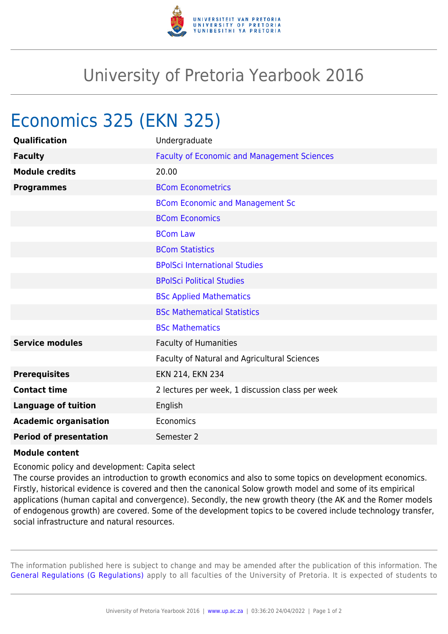

## University of Pretoria Yearbook 2016

## Economics 325 (EKN 325)

| Qualification                 | Undergraduate                                      |
|-------------------------------|----------------------------------------------------|
| <b>Faculty</b>                | <b>Faculty of Economic and Management Sciences</b> |
| <b>Module credits</b>         | 20.00                                              |
| <b>Programmes</b>             | <b>BCom Econometrics</b>                           |
|                               | <b>BCom Economic and Management Sc</b>             |
|                               | <b>BCom Economics</b>                              |
|                               | <b>BCom Law</b>                                    |
|                               | <b>BCom Statistics</b>                             |
|                               | <b>BPolSci International Studies</b>               |
|                               | <b>BPolSci Political Studies</b>                   |
|                               | <b>BSc Applied Mathematics</b>                     |
|                               | <b>BSc Mathematical Statistics</b>                 |
|                               | <b>BSc Mathematics</b>                             |
| <b>Service modules</b>        | Faculty of Humanities                              |
|                               | Faculty of Natural and Agricultural Sciences       |
| <b>Prerequisites</b>          | EKN 214, EKN 234                                   |
| <b>Contact time</b>           | 2 lectures per week, 1 discussion class per week   |
| <b>Language of tuition</b>    | English                                            |
| <b>Academic organisation</b>  | Economics                                          |
| <b>Period of presentation</b> | Semester 2                                         |

## **Module content**

Economic policy and development: Capita select

The course provides an introduction to growth economics and also to some topics on development economics. Firstly, historical evidence is covered and then the canonical Solow growth model and some of its empirical applications (human capital and convergence). Secondly, the new growth theory (the AK and the Romer models of endogenous growth) are covered. Some of the development topics to be covered include technology transfer, social infrastructure and natural resources.

The information published here is subject to change and may be amended after the publication of this information. The [General Regulations \(G Regulations\)](https://www.up.ac.za/yearbooks/2016/rules/view/REG) apply to all faculties of the University of Pretoria. It is expected of students to